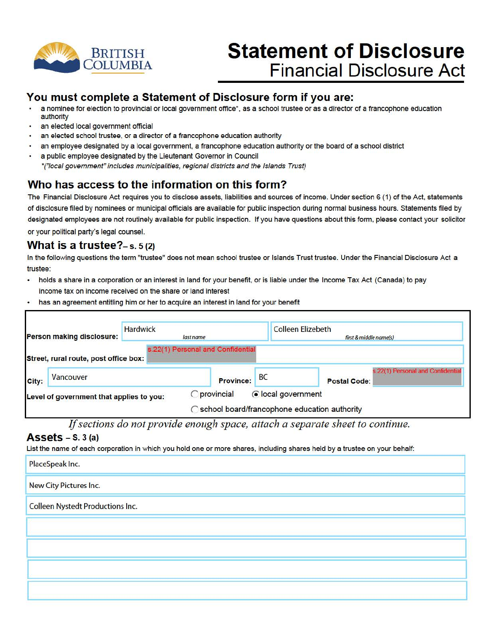

# **Statement of Disclosure Financial Disclosure Act**

### **You must complete a Statement of Disclosure form if you are:**

- a nominee for election to provincial or local government office\*, as a school trustee or as a director of a francophone education authority
- an elected local government official
- an elected school trustee, or a director of a francophone education authority
- an employee designated by a local government, a francophone education authority or the board of a school district
- a public employee designated by the Lieutenant Governor in Council •("local government" includes municipalities, regional districts and the Islands Trust)

## **Who has access to the information on this form?**

The Financial Disclosure Act requires you to disclose assets, liabilities and sources of income. Under section 6 (1) of the Act, statements of disclosure filed by nominees or municipal officials are available for public inspection during normal business hours. Statements filed by designated employees are not routinely available for public inspection. If you have questions about this form, please contact your solicitor or your political party's legal counsel.

#### **What is a trustee?-**s. s (2)

In the following questions the term "trustee" does not mean school trustee or Islands Trust trustee. Under the Financial Disclosure Act a trustee:

- holds a share in a corporation or an interest in land for your benefit, or is liable under the Income Tax Act (Canada) to pay income tax on income received on the share or land interest
- has an agreement entitling him or her to acquire an interest in land for your benefit

| <b>Hardwick</b><br>Person making disclosure: |                                          | last name                         |                   | <b>Colleen Elizebeth</b><br>first & middle name(s) |  |
|----------------------------------------------|------------------------------------------|-----------------------------------|-------------------|----------------------------------------------------|--|
|                                              | Street, rural route, post office box:    | s.22(1) Personal and Confidential |                   |                                                    |  |
| City:                                        | Vancouver                                | <b>Province:</b>                  | <b>BC</b>         | s.22(1) Personal and Confidential<br>Postal Code:  |  |
|                                              | Level of government that applies to you: | provincial                        | clocal government | ◯ school board/francophone education authority     |  |

*If sections do not provide enough space, attach a separate sheet to continue.* 

#### **Assets** - s. 3 (a)

List the name of each corporation in which you hold one or more shares, including shares held by a trustee on your behalf:

| PlaceSpeak Inc.                  |  |
|----------------------------------|--|
| New City Pictures Inc.           |  |
| Colleen Nystedt Productions Inc. |  |
|                                  |  |
|                                  |  |
|                                  |  |
|                                  |  |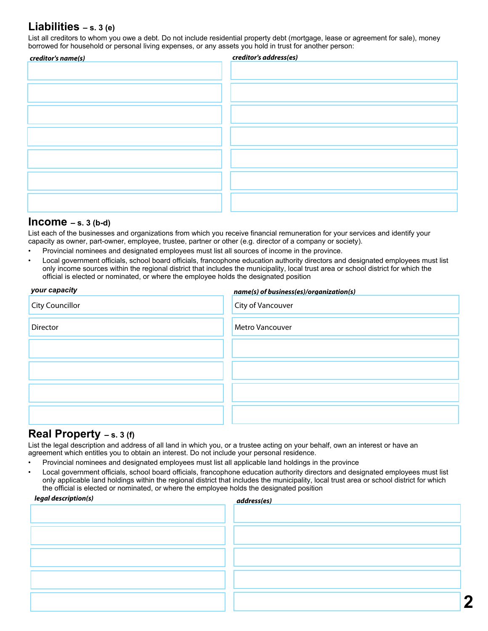### **Liabilities – s. 3 (e)**

List all creditors to whom you owe a debt. Do not include residential property debt (mortgage, lease or agreement for sale), money borrowed for household or personal living expenses, or any assets you hold in trust for another person:

| creditor's name(s) | creditor's address(es) |
|--------------------|------------------------|
|                    |                        |
|                    |                        |
|                    |                        |
|                    |                        |
|                    |                        |
|                    |                        |
|                    |                        |
|                    |                        |
|                    |                        |
|                    |                        |
|                    |                        |
|                    |                        |
|                    |                        |
|                    |                        |
|                    |                        |
|                    |                        |

#### **Income – s. 3 (b-d)**

List each of the businesses and organizations from which you receive financial remuneration for your services and identify your capacity as owner, part-owner, employee, trustee, partner or other (e.g. director of a company or society).

- Provincial nominees and designated employees must list all sources of income in the province.
- Local government officials, school board officials, francophone education authority directors and designated employees must list only income sources within the regional district that includes the municipality, local trust area or school district for which the official is elected or nominated, or where the employee holds the designated position

| your capacity          | name(s) of business(es)/organization(s) |
|------------------------|-----------------------------------------|
| <b>City Councillor</b> | City of Vancouver                       |
| <b>Director</b>        | <b>Metro Vancouver</b>                  |
|                        |                                         |
|                        |                                         |
|                        |                                         |
|                        |                                         |

#### **Real Property – s. 3 (f)**

List the legal description and address of all land in which you, or a trustee acting on your behalf, own an interest or have an agreement which entitles you to obtain an interest. Do not include your personal residence.

- Provincial nominees and designated employees must list all applicable land holdings in the province
- Local government officials, school board officials, francophone education authority directors and designated employees must list only applicable land holdings within the regional district that includes the municipality, local trust area or school district for which the official is elected or nominated, or where the employee holds the designated position

| legal description(s) | address(es) |
|----------------------|-------------|
|                      |             |
|                      |             |
|                      |             |
|                      |             |
|                      |             |